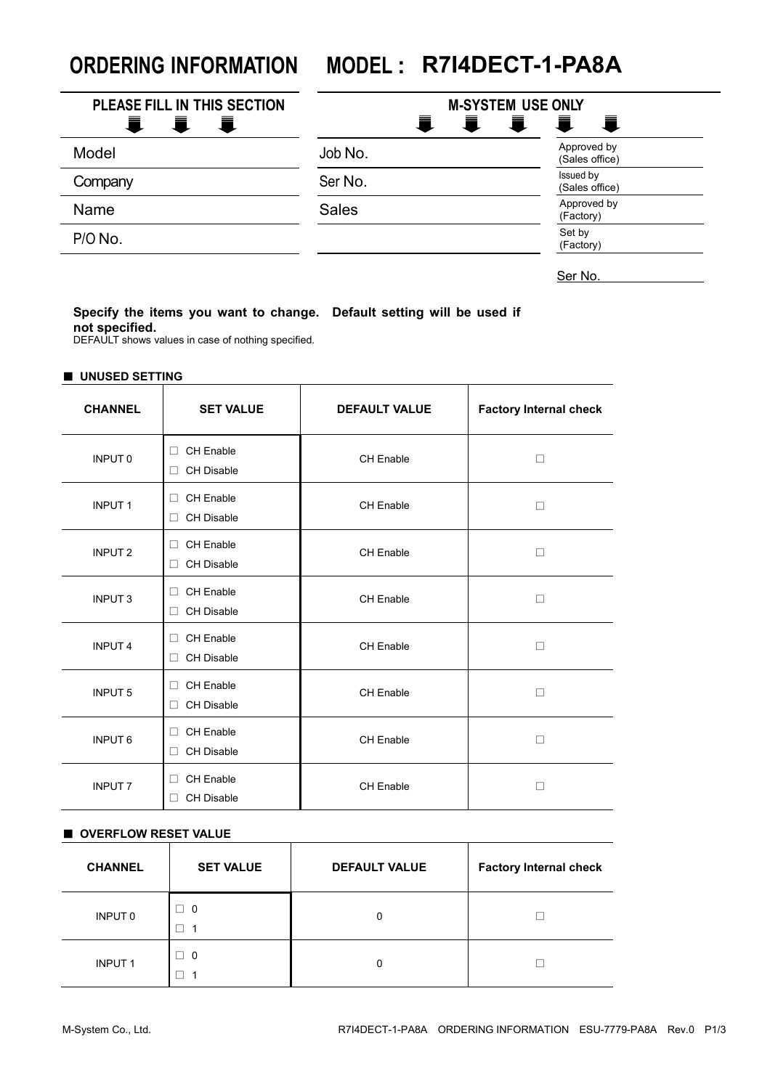# **ORDERING INFORMATION MODEL : R7I4DECT-1-PA8A**

| PLEASE FILL IN THIS SECTION<br>Ξ.<br><b>且 且</b> | <b>M-SYSTEM USE ONLY</b><br>量 | l II                          |
|-------------------------------------------------|-------------------------------|-------------------------------|
| Model                                           | Job No.                       | Approved by<br>(Sales office) |
| Company                                         | Ser No.                       | Issued by<br>(Sales office)   |
| Name                                            | <b>Sales</b>                  | Approved by<br>(Factory)      |
| P/O No.                                         |                               | Set by<br>(Factory)           |

Ser No.

## **Specify the items you want to change. Default setting will be used if not specified.**

DEFAULT shows values in case of nothing specified.

#### ■ **UNUSED SETTING**

| <b>CHANNEL</b> | <b>SET VALUE</b>                                | <b>DEFAULT VALUE</b> | <b>Factory Internal check</b> |
|----------------|-------------------------------------------------|----------------------|-------------------------------|
| <b>INPUT 0</b> | <b>CH Enable</b><br>п<br><b>CH Disable</b><br>П | CH Enable            | П                             |
| <b>INPUT1</b>  | <b>CH Enable</b><br>п<br><b>CH Disable</b><br>П | <b>CH Enable</b>     | П                             |
| <b>INPUT 2</b> | <b>CH Enable</b><br>П<br><b>CH Disable</b><br>П | <b>CH Enable</b>     | П                             |
| <b>INPUT3</b>  | <b>CH Enable</b><br>п<br><b>CH Disable</b><br>П | <b>CH Enable</b>     | П                             |
| <b>INPUT4</b>  | <b>CH Enable</b><br>п<br><b>CH Disable</b><br>п | <b>CH Enable</b>     | П                             |
| <b>INPUT 5</b> | <b>CH Enable</b><br>п<br><b>CH Disable</b><br>п | CH Enable            | П                             |
| <b>INPUT6</b>  | <b>CH Enable</b><br>п<br><b>CH Disable</b><br>п | <b>CH Enable</b>     | П                             |
| <b>INPUT 7</b> | <b>CH Enable</b><br>п<br><b>CH Disable</b><br>п | CH Enable            |                               |

#### ■ **OVERFLOW RESET VALUE**

| <b>CHANNEL</b> | <b>SET VALUE</b> | <b>DEFAULT VALUE</b> | <b>Factory Internal check</b> |
|----------------|------------------|----------------------|-------------------------------|
| INPUT 0        | - 0<br>1         | 0                    |                               |
| <b>INPUT1</b>  | $\Box$ 0         | 0                    |                               |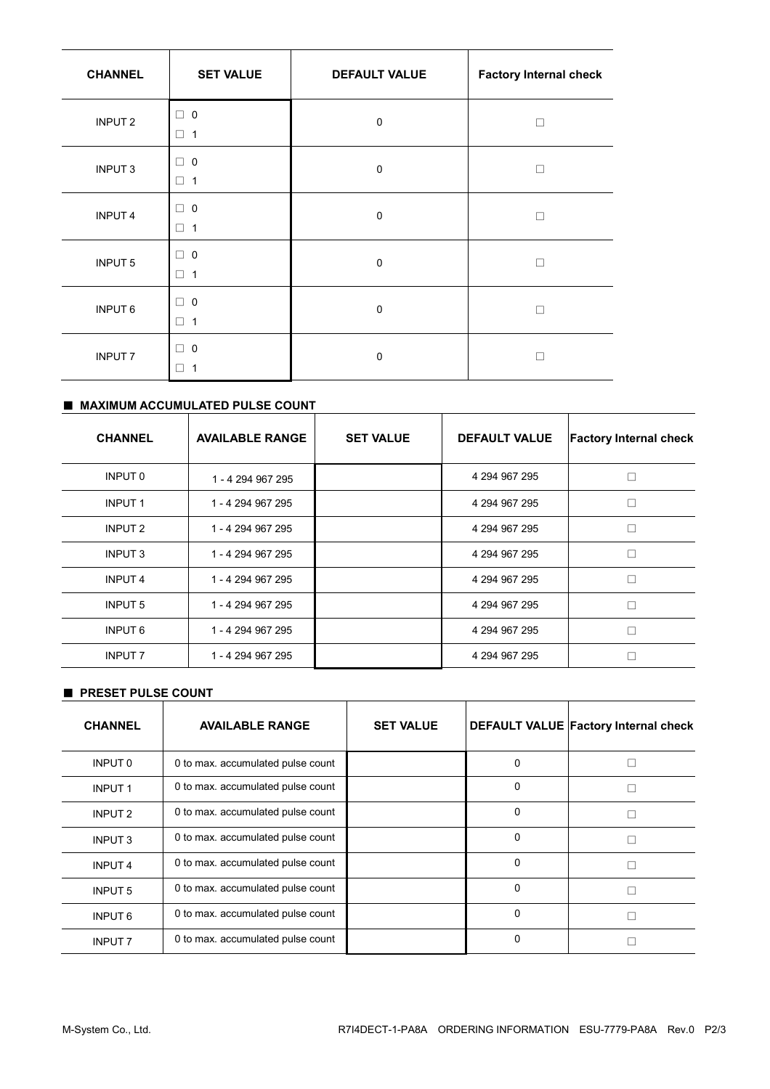| <b>CHANNEL</b>     | <b>SET VALUE</b>                                  | <b>DEFAULT VALUE</b> | <b>Factory Internal check</b> |
|--------------------|---------------------------------------------------|----------------------|-------------------------------|
| INPUT <sub>2</sub> | 0<br>□<br>□<br>$\overline{1}$                     | $\mathbf 0$          | п                             |
| <b>INPUT3</b>      | $\Box$ 0<br>$\Box$ 1                              | $\mathbf 0$          | п                             |
| <b>INPUT4</b>      | $\mathbf 0$<br>п<br>□<br>$\overline{1}$           | $\mathbf 0$          | п                             |
| <b>INPUT 5</b>     | $\mathbf 0$<br>$\Box$<br>$\Box$<br>$\overline{1}$ | $\mathbf 0$          | П                             |
| <b>INPUT6</b>      | $\overline{0}$<br>□<br>□<br>1                     | $\mathbf 0$          | П                             |
| <b>INPUT 7</b>     | $\Box$ 0<br>1<br>□                                | $\mathbf 0$          |                               |

# ■ **MAXIMUM ACCUMULATED PULSE COUNT**

| <b>CHANNEL</b>     | <b>AVAILABLE RANGE</b> | <b>SET VALUE</b> | <b>DEFAULT VALUE</b> | <b>Factory Internal check</b> |
|--------------------|------------------------|------------------|----------------------|-------------------------------|
| INPUT 0            | 1 - 4 294 967 295      |                  | 4 294 967 295        |                               |
| <b>INPUT1</b>      | 1 - 4 294 967 295      |                  | 4 294 967 295        |                               |
| INPUT <sub>2</sub> | 1 - 4 294 967 295      |                  | 4 294 967 295        |                               |
| <b>INPUT 3</b>     | 1 - 4 294 967 295      |                  | 4 294 967 295        |                               |
| <b>INPUT4</b>      | 1 - 4 294 967 295      |                  | 4 294 967 295        |                               |
| <b>INPUT 5</b>     | 1 - 4 294 967 295      |                  | 4 294 967 295        | г                             |
| <b>INPUT 6</b>     | 1 - 4 294 967 295      |                  | 4 294 967 295        |                               |
| <b>INPUT 7</b>     | 1 - 4 294 967 295      |                  | 4 294 967 295        |                               |

### ■ **PRESET PULSE COUNT**

| <b>CHANNEL</b>     | <b>AVAILABLE RANGE</b>            | <b>SET VALUE</b> |          | <b>DEFAULT VALUE Factory Internal check</b> |
|--------------------|-----------------------------------|------------------|----------|---------------------------------------------|
| INPUT 0            | 0 to max. accumulated pulse count |                  | 0        |                                             |
| <b>INPUT1</b>      | 0 to max. accumulated pulse count |                  | 0        |                                             |
| INPUT <sub>2</sub> | 0 to max. accumulated pulse count |                  | 0        |                                             |
| <b>INPUT 3</b>     | 0 to max. accumulated pulse count |                  | $\Omega$ |                                             |
| <b>INPUT4</b>      | 0 to max. accumulated pulse count |                  | $\Omega$ |                                             |
| <b>INPUT 5</b>     | 0 to max. accumulated pulse count |                  | $\Omega$ |                                             |
| <b>INPUT 6</b>     | 0 to max. accumulated pulse count |                  | O        |                                             |
| <b>INPUT 7</b>     | 0 to max. accumulated pulse count |                  | 0        |                                             |